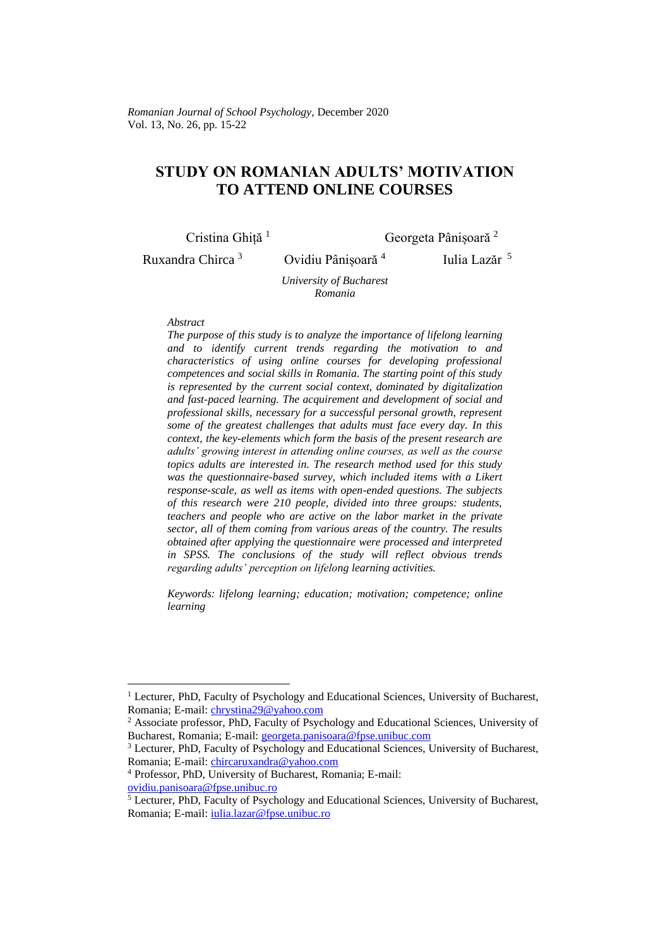## **STUDY ON ROMANIAN ADULTS' MOTIVATION TO ATTEND ONLINE COURSES**

Cristina Ghiță<sup>1</sup> Georgeta Pânișoară<sup>2</sup>

Ruxandra Chirca<sup>3</sup> Ovidiu Pânișoară<sup>4</sup>

Iulia Lazăr 5

*University of Bucharest Romania*

## *Abstract*

*The purpose of this study is to analyze the importance of lifelong learning and to identify current trends regarding the motivation to and characteristics of using online courses for developing professional competences and social skills in Romania. The starting point of this study is represented by the current social context, dominated by digitalization and fast-paced learning. The acquirement and development of social and professional skills, necessary for a successful personal growth, represent some of the greatest challenges that adults must face every day. In this context, the key-elements which form the basis of the present research are adults' growing interest in attending online courses, as well as the course topics adults are interested in. The research method used for this study was the questionnaire-based survey, which included items with a Likert response-scale, as well as items with open-ended questions. The subjects of this research were 210 people, divided into three groups: students, teachers and people who are active on the labor market in the private sector, all of them coming from various areas of the country. The results obtained after applying the questionnaire were processed and interpreted in SPSS. The conclusions of the study will reflect obvious trends regarding adults' perception on lifelong learning activities.*

*Keywords: lifelong learning; education; motivation; competence; online learning*

<sup>&</sup>lt;sup>1</sup> Lecturer, PhD, Faculty of Psychology and Educational Sciences, University of Bucharest, Romania; E-mail: [chrystina29@yahoo.com](mailto:chrystina29@yahoo.com)

<sup>2</sup> Associate professor, PhD, Faculty of Psychology and Educational Sciences, University of Bucharest, Romania; E-mail: [georgeta.panisoara@fpse.unibuc.com](mailto:georgeta.panisoara@fpse.unibuc.com)

<sup>3</sup> Lecturer, PhD, Faculty of Psychology and Educational Sciences, University of Bucharest, Romania; E-mail: [chircaruxandra@yahoo.com](mailto:chircaruxandra@yahoo.com)

<sup>4</sup> Professor, PhD, University of Bucharest, Romania; E-mail: [ovidiu.panisoara@fpse.unibuc.ro](mailto:ovidiu.panisoara@fpse.unibuc.ro)

<sup>5</sup> Lecturer, PhD, Faculty of Psychology and Educational Sciences, University of Bucharest, Romania; E-mail: [iulia.lazar@fpse.unibuc.ro](mailto:iulia.lazar@fpse.unibuc.ro)